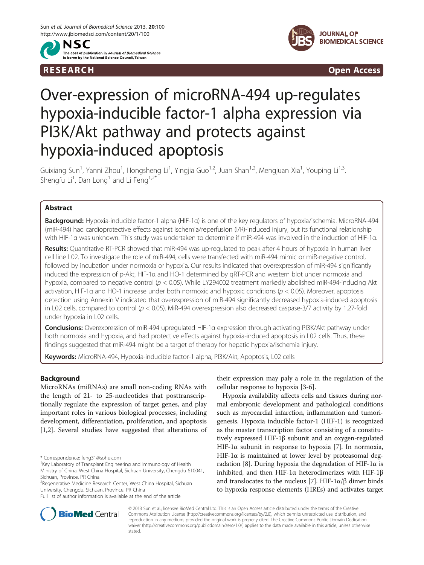



R E S EAR CH Open Access

# Over-expression of microRNA-494 up-regulates hypoxia-inducible factor-1 alpha expression via PI3K/Akt pathway and protects against hypoxia-induced apoptosis

Guixiang Sun<sup>1</sup>, Yanni Zhou<sup>1</sup>, Hongsheng Li<sup>1</sup>, Yingjia Guo<sup>1,2</sup>, Juan Shan<sup>1,2</sup>, Mengjuan Xia<sup>1</sup>, Youping Li<sup>1,3</sup>, Shengfu Li<sup>1</sup>, Dan Long<sup>1</sup> and Li Feng<sup>1,2\*</sup>

# Abstract

Background: Hypoxia-inducible factor-1 alpha (HIF-1α) is one of the key regulators of hypoxia/ischemia. MicroRNA-494 (miR-494) had cardioprotective effects against ischemia/reperfusion (I/R)-induced injury, but its functional relationship with HIF-1α was unknown. This study was undertaken to determine if miR-494 was involved in the induction of HIF-1α.

Results: Quantitative RT-PCR showed that miR-494 was up-regulated to peak after 4 hours of hypoxia in human liver cell line L02. To investigate the role of miR-494, cells were transfected with miR-494 mimic or miR-negative control, followed by incubation under normoxia or hypoxia. Our results indicated that overexpression of miR-494 significantly induced the expression of p-Akt, HIF-1α and HO-1 determined by qRT-PCR and western blot under normoxia and hypoxia, compared to negative control ( $p < 0.05$ ). While LY294002 treatment markedly abolished miR-494-inducing Akt activation, HIF-1 $\alpha$  and HO-1 increase under both normoxic and hypoxic conditions ( $p < 0.05$ ). Moreover, apoptosis detection using Annexin V indicated that overexpression of miR-494 significantly decreased hypoxia-induced apoptosis in L02 cells, compared to control ( $p < 0.05$ ). MiR-494 overexpression also decreased caspase-3/7 activity by 1.27-fold under hypoxia in L02 cells.

Conclusions: Overexpression of miR-494 upregulated HIF-1α expression through activating PI3K/Akt pathway under both normoxia and hypoxia, and had protective effects against hypoxia-induced apoptosis in L02 cells. Thus, these findings suggested that miR-494 might be a target of therapy for hepatic hypoxia/ischemia injury.

Keywords: MicroRNA-494, Hypoxia-inducible factor-1 alpha, PI3K/Akt, Apoptosis, L02 cells

# Background

MicroRNAs (miRNAs) are small non-coding RNAs with the length of 21- to 25-nucleotides that posttranscriptionally regulate the expression of target genes, and play important roles in various biological processes, including development, differentiation, proliferation, and apoptosis [[1,2\]](#page-7-0). Several studies have suggested that alterations of

their expression may paly a role in the regulation of the cellular response to hypoxia [\[3](#page-7-0)-[6\]](#page-7-0).

Hypoxia availability affects cells and tissues during normal embryonic development and pathological conditions such as myocardial infarction, inflammation and tumorigenesis. Hypoxia inducible factor-1 (HIF-1) is recognized as the master transcription factor consisting of a constitutively expressed HIF-1β subunit and an oxygen-regulated HIF-1 $\alpha$  subunit in response to hypoxia [[7\]](#page-7-0). In normoxia, HIF-1 $\alpha$  is maintained at lower level by proteasomal deg-radation [\[8](#page-7-0)]. During hypoxia the degradation of HIF-1α is inhibited, and then HIF-1α heterodimerizes with HIF-1β and translocates to the nucleus [\[7](#page-7-0)]. HIF- $1\alpha/\beta$  dimer binds to hypoxia response elements (HREs) and activates target



© 2013 Sun et al.; licensee BioMed Central Ltd. This is an Open Access article distributed under the terms of the Creative Commons Attribution License [\(http://creativecommons.org/licenses/by/2.0\)](http://creativecommons.org/licenses/by/2.0), which permits unrestricted use, distribution, and reproduction in any medium, provided the original work is properly cited. The Creative Commons Public Domain Dedication waiver [\(http://creativecommons.org/publicdomain/zero/1.0/\)](http://creativecommons.org/publicdomain/zero/1.0/) applies to the data made available in this article, unless otherwise stated.

<sup>\*</sup> Correspondence: [feng31@sohu.com](mailto:feng31@sohu.com) <sup>1</sup>

<sup>&</sup>lt;sup>1</sup> Key Laboratory of Transplant Engineering and Immunology of Health

Ministry of China, West China Hospital, Sichuan University, Chengdu 610041, Sichuan, Province, PR China

<sup>&</sup>lt;sup>2</sup> Regenerative Medicine Research Center, West China Hospital, Sichuan University, Chengdu, Sichuan, Province, PR China

Full list of author information is available at the end of the article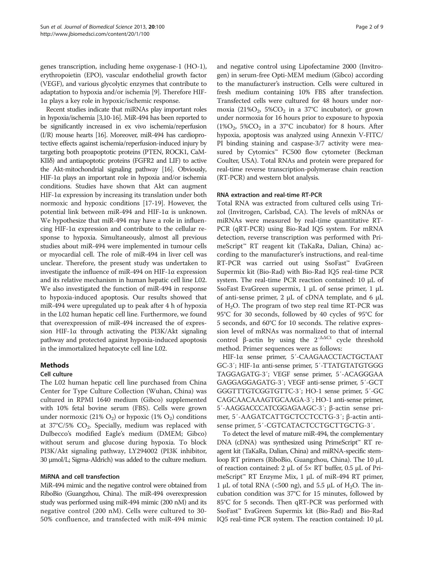genes transcription, including heme oxygenase-1 (HO-1), erythropoietin (EPO), vascular endothelial growth factor (VEGF), and various glycolytic enzymes that contribute to adaptation to hypoxia and/or ischemia [\[9](#page-7-0)]. Therefore HIF-1α plays a key role in hypoxic/ischemic response.

Recent studies indicate that miRNAs play important roles in hypoxia/ischemia [\[3,10](#page-7-0)[-16\]](#page-8-0). MiR-494 has been reported to be significantly increased in ex vivo ischemia/reperfusion (I/R) mouse hearts [\[16](#page-8-0)]. Moreover, miR-494 has cardioprotective effects against ischemia/reperfusion-induced injury by targeting both proapoptotic proteins (PTEN, ROCK1, CaM-KIIδ) and antiapoptotic proteins (FGFR2 and LIF) to active the Akt-mitochondrial signaling pathway [\[16\]](#page-8-0). Obviously, HIF-1 $\alpha$  plays an important role in hypoxia and/or ischemia conditions. Studies have shown that Akt can augment HIF-1 $\alpha$  expression by increasing its translation under both normoxic and hypoxic conditions [[17](#page-8-0)-[19\]](#page-8-0). However, the potential link between miR-494 and HIF-1α is unknown. We hypothesize that miR-494 may have a role in influencing HIF-1α expression and contribute to the cellular response to hypoxia. Simultaneously, almost all previous studies about miR-494 were implemented in tumour cells or myocardial cell. The role of miR-494 in liver cell was unclear. Therefore, the present study was undertaken to investigate the influence of miR-494 on HIF-1α expression and its relative mechanism in human hepatic cell line L02. We also investigated the function of miR-494 in response to hypoxia-induced apoptosis. Our results showed that miR-494 were upregulated up to peak after 4 h of hypoxia in the L02 human hepatic cell line. Furthermore, we found that overexpression of miR-494 increased the of expression HIF-1α through activating the PI3K/Akt signaling pathway and protected against hypoxia-induced apoptosis in the immortalized hepatocyte cell line L02.

# Methods

## Cell culture

The L02 human hepatic cell line purchased from China Center for Type Culture Collection (Wuhan, China) was cultured in RPMI 1640 medium (Gibco) supplemented with 10% fetal bovine serum (FBS). Cells were grown under normoxic (21%  $O_2$ ) or hypoxic (1%  $O_2$ ) conditions at 37°C/5%  $CO<sub>2</sub>$ . Specially, medium was replaced with Dulbecco's modified Eagle's medium (DMEM; Gibco) without serum and glucose during hypoxia. To block PI3K/Akt signaling pathway, LY294002 (PI3K inhibitor, 30 μmol/L; Sigma-Aldrich) was added to the culture medium.

## MiRNA and cell transfection

MiR-494 mimic and the negative control were obtained from RiboBio (Guangzhou, China). The miR-494 overexpression study was performed using miR-494 mimic (200 nM) and its negative control (200 nM). Cells were cultured to 30- 50% confluence, and transfected with miR-494 mimic

and negative control using Lipofectamine 2000 (Invitrogen) in serum-free Opti-MEM medium (Gibco) according to the manufacturer's instruction. Cells were cultured in fresh medium containing 10% FBS after transfection. Transfected cells were cultured for 48 hours under normoxia (21% $O_2$ , 5% $CO_2$  in a 37°C incubator), or grown under normoxia for 16 hours prior to exposure to hypoxia (1% $O_2$ , 5% $CO_2$  in a 37°C incubator) for 8 hours. After hypoxia, apoptosis was analyzed using Annexin V-FITC/ PI binding staining and caspase-3/7 activity were measured by Cytomics™ FC500 flow cytometer (Beckman Coulter, USA). Total RNAs and protein were prepared for real-time reverse transcription-polymerase chain reaction (RT-PCR) and western blot analysis.

## RNA extraction and real-time RT-PCR

Total RNA was extracted from cultured cells using Trizol (Invitrogen, Carlsbad, CA). The levels of mRNAs or miRNAs were measured by real-time quantitative RT-PCR (qRT-PCR) using Bio-Rad IQ5 system. For mRNA detection, reverse transcription was performed with PrimeScript™ RT reagent kit (TaKaRa, Dalian, China) according to the manufacturer's instructions, and real-time RT-PCR was carried out using SsoFast™ EvaGreen Supermix kit (Bio-Rad) with Bio-Rad IQ5 real-time PCR system. The real-time PCR reaction contained: 10 μL of SsoFast EvaGreen supermix, 1 μL of sense primer, 1 μL of anti-sense primer, 2 μL of cDNA template, and 6 μL of  $H_2O$ . The program of two step real time RT-PCR was 95°C for 30 seconds, followed by 40 cycles of 95°C for 5 seconds, and 60°C for 10 seconds. The relative expression level of mRNAs was normalized to that of internal control β-actin by using the  $2^{-\Delta\Delta Ct}$  cycle threshold method. Primer sequences were as follows:

HIF-1α sense primer, 5′-CAAGAACCTACTGCTAAT GC-3′; HIF-1α anti-sense primer, 5′-TTATGTATGTGGG TAGGAGATG-3′; VEGF sense primer, 5′-ACAGGGAA GAGGAGGAGATG-3′; VEGF anti-sense primer, 5′-GCT GGGTTTGTCGGTGTTC-3′; HO-1 sense primer, 5′-GC CAGCAACAAAGTGCAAGA-3′; HO-1 anti-sense primer, 5′-AAGGACCCATCGGAGAAGC-3′; β-actin sense primer, 5′-AAGATCATTGCTCCTCCTG-3′; β-actin antisense primer, 5'-CGTCATACTCCTGCTTGCTG-3'.

To detect the level of mature miR-494, the complementary DNA (cDNA) was synthesized using PrimeScript™ RT reagent kit (TaKaRa, Dalian, China) and miRNA-specific stemloop RT primers (RiboBio, Guangzhou, China). The 10 μL of reaction contained: 2 μL of 5× RT buffer, 0.5 μL of PrimeScript™ RT Enzyme Mix, 1 μL of miR-494 RT primer, 1 μL of total RNA ( $<500$  ng), and 5.5 μL of H<sub>2</sub>O. The incubation condition was 37°C for 15 minutes, followed by 85°C for 5 seconds. Then qRT-PCR was performed with SsoFast™ EvaGreen Supermix kit (Bio-Rad) and Bio-Rad IQ5 real-time PCR system. The reaction contained: 10 μL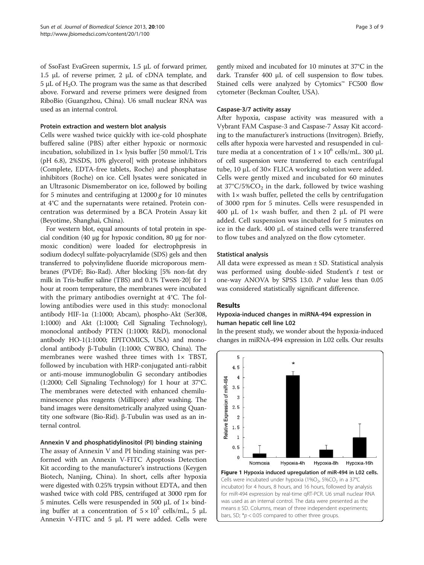<span id="page-2-0"></span>of SsoFast EvaGreen supermix, 1.5 μL of forward primer, 1.5 μL of reverse primer, 2 μL of cDNA template, and 5 μL of  $H_2O$ . The program was the same as that described above. Forward and reverse primers were designed from RiboBio (Guangzhou, China). U6 small nuclear RNA was used as an internal control.

## Protein extraction and western blot analysis

Cells were washed twice quickly with ice-cold phosphate buffered saline (PBS) after either hypoxic or normoxic incubation, solubilized in  $1 \times$  lysis buffer [50 mmol/L Tris (pH 6.8), 2%SDS, 10% glycerol] with protease inhibitors (Complete, EDTA-free tablets, Roche) and phosphatase inhibitors (Roche) on ice. Cell lysates were sonicated in an Ultrasonic Dismemberator on ice, followed by boiling for 5 minutes and centrifuging at  $12000 g$  for 10 minutes at 4°C and the supernatants were retained. Protein concentration was determined by a BCA Protein Assay kit (Beyotime, Shanghai, China).

For western blot, equal amounts of total protein in special condition (40 μg for hypoxic condition, 80 μg for normoxic condition) were loaded for electrophpresis in sodium dodecyl sulfate-polyacrylamide (SDS) gels and then transferred to polyvinylidene fluoride microporous membranes (PVDF; Bio-Rad). After blocking [5% non-fat dry milk in Tris-buffer saline (TBS) and 0.1% Tween-20] for 1 hour at room temperature, the membranes were incubated with the primary antibodies overnight at 4°C. The following antibodies were used in this study: monoclonal antibody HIF-1α (1:1000; Abcam), phospho-Akt (Ser308, 1:1000) and Akt (1:1000; Cell Signaling Technology), monoclonal antibody PTEN (1:1000; R&D), monoclonal antibody HO-1(1:1000; EPITOMICS, USA) and monoclonal antibody β-Tubulin (1:1000; CWBIO, China). The membranes were washed three times with  $1 \times$  TBST, followed by incubation with HRP-conjugated anti-rabbit or anti-mouse immunoglobulin G secondary antibodies (1:2000; Cell Signaling Technology) for 1 hour at 37°C. The membranes were detected with enhanced chemiluminescence plus reagents (Millipore) after washing. The band images were densitometrically analyzed using Quantity one software (Bio-Rid). β-Tubulin was used as an internal control.

## Annexin V and phosphatidylinositol (PI) binding staining

The assay of Annexin V and PI binding staining was performed with an Annexin V-FITC Apoptosis Detection Kit according to the manufacturer's instructions (Keygen Biotech, Nanjing, China). In short, cells after hypoxia were digested with 0.25% trypsin without EDTA, and then washed twice with cold PBS, centrifuged at 3000 rpm for 5 minutes. Cells were resuspended in 500 μL of 1× binding buffer at a concentration of  $5 \times 10^5$  cells/mL, 5  $\mu$ L Annexin V-FITC and 5 μL PI were added. Cells were gently mixed and incubated for 10 minutes at 37°C in the dark. Transfer 400 μL of cell suspension to flow tubes. Stained cells were analyzed by Cytomics™ FC500 flow cytometer (Beckman Coulter, USA).

#### Caspase-3/7 activity assay

After hypoxia, caspase activity was measured with a Vybrant FAM Caspase-3 and Caspase-7 Assay Kit according to the manufacturer's instructions (Invitrogen). Briefly, cells after hypoxia were harvested and resuspended in culture media at a concentration of  $1 \times 10^6$  cells/mL. 300 µL of cell suspension were transferred to each centrifugal tube, 10 μL of 30× FLICA working solution were added. Cells were gently mixed and incubated for 60 minutes at  $37^{\circ}$ C/5%CO<sub>2</sub> in the dark, followed by twice washing with  $1\times$  wash buffer, pelleted the cells by centrifugation of 3000 rpm for 5 minutes. Cells were resuspended in 400 μL of  $1 \times$  wash buffer, and then  $2$  μL of PI were added. Cell suspension was incubated for 5 minutes on ice in the dark. 400 μL of stained cells were transferred to flow tubes and analyzed on the flow cytometer.

#### Statistical analysis

All data were expressed as mean ± SD. Statistical analysis was performed using double-sided Student's  $t$  test or one-way ANOVA by SPSS 13.0. P value less than 0.05 was considered statistically significant difference.

# **Results**

## Hypoxia-induced changes in miRNA-494 expression in human hepatic cell line L02

In the present study, we wonder about the hypoxia-induced changes in miRNA-494 expression in L02 cells. Our results

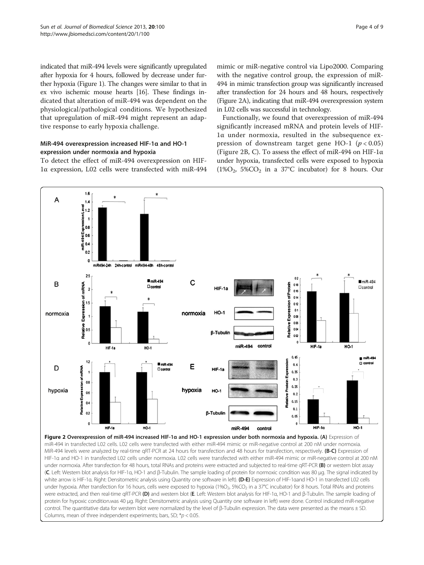<span id="page-3-0"></span>indicated that miR-494 levels were significantly upregulated after hypoxia for 4 hours, followed by decrease under further hypoxia (Figure [1\)](#page-2-0). The changes were similar to that in ex vivo ischemic mouse hearts [[16](#page-8-0)]. These findings indicated that alteration of miR-494 was dependent on the physiological/pathological conditions. We hypothesized that upregulation of miR-494 might represent an adaptive response to early hypoxia challenge.

# MiR-494 overexpression increased HIF-1α and HO-1 expression under normoxia and hypoxia

To detect the effect of miR-494 overexpression on HIF-1α expression, L02 cells were transfected with miR-494 mimic or miR-negative control via Lipo2000. Comparing with the negative control group, the expression of miR-494 in mimic transfection group was significantly increased after transfection for 24 hours and 48 hours, respectively (Figure 2A), indicating that miR-494 overexpression system in L02 cells was successful in technology.

Functionally, we found that overexpression of miR-494 significantly increased mRNA and protein levels of HIF-1α under normoxia, resulted in the subsequence expression of downstream target gene HO-1 ( $p < 0.05$ ) (Figure 2B, C). To assess the effect of miR-494 on HIF-1α under hypoxia, transfected cells were exposed to hypoxia  $(1\%O<sub>2</sub>, 5\%CO<sub>2</sub>)$  in a 37°C incubator) for 8 hours. Our



HIF-1α and HO-1 in transfected L02 cells under normoxia. L02 cells were transfected with either miR-494 mimic or miR-negative control at 200 nM under normoxia. After transfection for 48 hours, total RNAs and proteins were extracted and subjected to real-time qRT-PCR (B) or western blot assay (C. Left: Western blot analysis for HIF-1α, HO-1 and β-Tubulin. The sample loading of protein for normoxic condition was 80 μg. The signal indicated by white arrow is HIF-1α. Right: Densitometric analysis using Quantity one software in left). (D-E) Expression of HIF-1aand HO-1 in transfected L02 cells under hypoxia. After transfection for 16 hours, cells were exposed to hypoxia (1%O<sub>2</sub>, 5%CO<sub>2</sub> in a 37°C incubator) for 8 hours. Total RNAs and proteins were extracted, and then real-time qRT-PCR (D) and western blot (E. Left: Western blot analysis for HIF-1α, HO-1 and β-Tubulin. The sample loading of protein for hypoxic condition.was 40 μg. Right: Densitometric analysis using Quantity one software in left) were done. Control indicated miR-negative control. The quantitative data for western blot were normalized by the level of β-Tubulin expression. The data were presented as the means ± SD. Columns, mean of three independent experiments; bars, SD;  $*$ p < 0.05.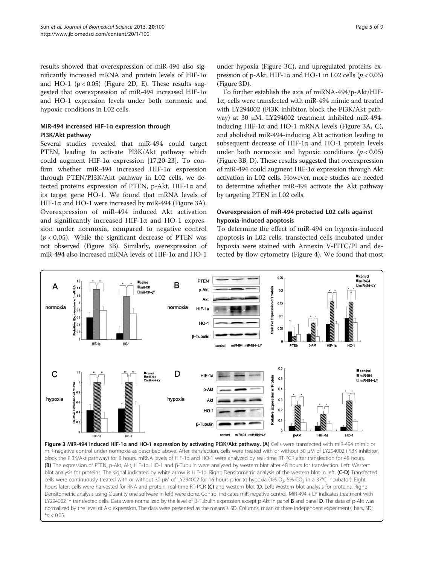<span id="page-4-0"></span>results showed that overexpression of miR-494 also significantly increased mRNA and protein levels of HIF-1α and HO-1 ( $p < 0.05$ ) (Figure [2](#page-3-0)D, E). These results suggested that overexpression of miR-494 increased HIF-1α and HO-1 expression levels under both normoxic and hypoxic conditions in L02 cells.

# MiR-494 increased HIF-1α expression through PI3K/Akt pathway

Several studies revealed that miR-494 could target PTEN, leading to activate PI3K/Akt pathway which could augment HIF-1α expression [\[17,20](#page-8-0)-[23](#page-8-0)]. To confirm whether miR-494 increased HIF-1α expression through PTEN/PI3K/Akt pathway in L02 cells, we detected proteins expression of PTEN, p-Akt, HIF-1α and its target gene HO-1. We found that mRNA levels of HIF-1 $\alpha$  and HO-1 were increased by miR-494 (Figure 3A). Overexpression of miR-494 induced Akt activation and significantly increased HIF-1α and HO-1 expression under normoxia, compared to negative control  $(p < 0.05)$ . While the significant decrease of PTEN was not observed (Figure 3B). Similarly, overexpression of miR-494 also increased mRNA levels of HIF-1α and HO-1

under hypoxia (Figure 3C), and upregulated proteins expression of p-Akt, HIF-1α and HO-1 in L02 cells ( $p < 0.05$ ) (Figure 3D).

To further establish the axis of miRNA-494/p-Akt/HIF-1α, cells were transfected with miR-494 mimic and treated with LY294002 (PI3K inhibitor, block the PI3K/Akt pathway) at 30 μM. LY294002 treatment inhibited miR-494 inducing HIF-1α and HO-1 mRNA levels (Figure 3A, C), and abolished miR-494-inducing Akt activation leading to subsequent decrease of HIF-1α and HO-1 protein levels under both normoxic and hypoxic conditions ( $p < 0.05$ ) (Figure 3B, D). These results suggested that overexpression of miR-494 could augment HIF-1α expression through Akt activation in L02 cells. However, more studies are needed to determine whether miR-494 activate the Akt pathway by targeting PTEN in L02 cells.

# Overexpression of miR-494 protected L02 cells against hypoxia-induced apoptosis

To determine the effect of miR-494 on hypoxia-induced apoptosis in L02 cells, transfected cells incubated under hypoxia were stained with Annexin V-FITC/PI and detected by flow cytometry (Figure [4\)](#page-5-0). We found that most



Figure 3 MiR-494 induced HIF-1α and HO-1 expression by activating PI3K/Akt pathway. (A) Cells were transfected with miR-494 mimic or miR-negative control under normoxia as described above. After transfection, cells were treated with or without 30 μM of LY294002 (PI3K inhibitor, block the PI3K/Akt pathway) for 8 hours. mRNA levels of HIF-1α and HO-1 were analyzed by real-time RT-PCR after transfection for 48 hours. (B) The expression of PTEN, p-Akt, Akt, HIF-1α, HO-1 and β-Tubulin were analyzed by western blot after 48 hours for transfection. Left: Western blot analysis for proteins. The signal indicated by white arrow is HIF-1a. Right: Densitometric analysis of the western blot in left. (C-D) Transfected cells were continuously treated with or without 30 μM of LY294002 for 16 hours prior to hypoxia (1% O<sub>2</sub>, 5% CO<sub>2</sub> in a 37°C incubator). Eight hours later, cells were harvested for RNA and protein, real-time RT-PCR (C) and western blot (D. Left: Western blot analysis for proteins. Right: Densitometric analysis using Quantity one software in left) were done. Control indicates miR-negative control. MiR-494 + LY indicates treatment with LY294002 in transfected cells. Data were normalized by the level of β-Tubulin expression except p-Akt in panel B and panel D. The data of p-Akt was normalized by the level of Akt expression. The data were presented as the means ± SD. Columns, mean of three independent experiments; bars, SD;  $*_{p}$  < 0.05.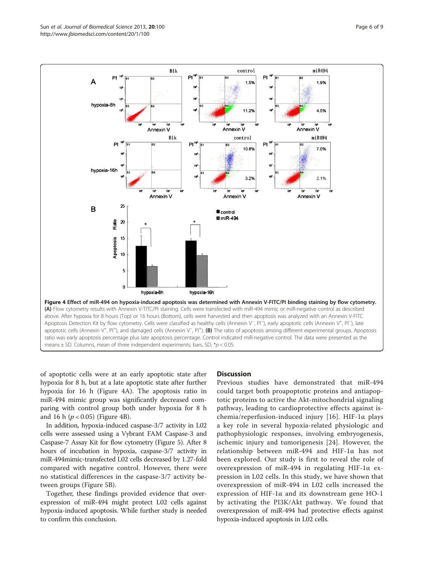<span id="page-5-0"></span>

of apoptotic cells were at an early apoptotic state after hypoxia for 8 h, but at a late apoptotic state after further hypoxia for 16 h (Figure 4A). The apoptosis ratio in miR-494 mimic group was significantly decreased comparing with control group both under hypoxia for 8 h and 16 h ( $p < 0.05$ ) (Figure 4B).

In addition, hypoxia-induced caspase-3/7 activity in L02 cells were assessed using a Vybrant FAM Caspase-3 and Caspase-7 Assay Kit for flow cytometry (Figure [5\)](#page-6-0). After 8 hours of incubation in hypoxia, caspase-3/7 activity in miR-494mimic-transfected L02 cells decreased by 1.27-fold compared with negative control. However, there were no statistical differences in the caspase-3/7 activity between groups (Figure [5](#page-6-0)B).

Together, these findings provided evidence that overexpression of miR-494 might protect L02 cells against hypoxia-induced apoptosis. While further study is needed to confirm this conclusion.

#### **Discussion**

Previous studies have demonstrated that miR-494 could target both proapoptotic proteins and antiapoptotic proteins to active the Akt-mitochondrial signaling pathway, leading to cardioprotective effects against ischemia/reperfusion-induced injury [[16](#page-8-0)]. HIF-1α plays a key role in several hypoxia-related physiologic and pathophysiologic responses, involving embryogenesis, ischemic injury and tumorigenesis [[24\]](#page-8-0). However, the relationship between miR-494 and HIF-1α has not been explored. Our study is first to reveal the role of overexpression of miR-494 in regulating HIF-1α expression in L02 cells. In this study, we have shown that overexpression of miR-494 in L02 cells increased the expression of HIF-1α and its downstream gene HO-1 by activating the PI3K/Akt pathway. We found that overexpression of miR-494 had protective effects against hypoxia-induced apoptosis in L02 cells.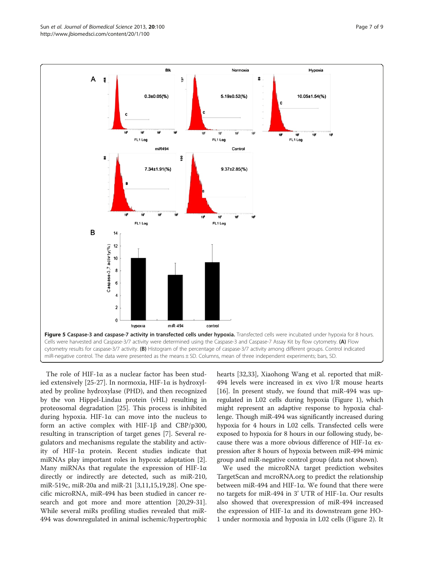<span id="page-6-0"></span>

The role of HIF-1α as a nuclear factor has been studied extensively [\[25-27](#page-8-0)]. In normoxia, HIF-1α is hydroxylated by proline hydroxylase (PHD), and then recognized by the von Hippel-Lindau protein (vHL) resulting in proteosomal degradation [\[25](#page-8-0)]. This process is inhibited during hypoxia. HIF-1α can move into the nucleus to form an active complex with HIF-1β and CBP/p300, resulting in transcription of target genes [\[7](#page-7-0)]. Several regulators and mechanisms regulate the stability and activity of HIF-1α protein. Recent studies indicate that miRNAs play important roles in hypoxic adaptation [\[2](#page-7-0)]. Many miRNAs that regulate the expression of HIF-1α directly or indirectly are detected, such as miR-210, miR-519c, miR-20a and miR-21 [\[3,11](#page-7-0)[,15,19,28\]](#page-8-0). One specific microRNA, miR-494 has been studied in cancer research and got more and more attention [\[20,29-31](#page-8-0)]. While several miRs profiling studies revealed that miR-494 was downregulated in animal ischemic/hypertrophic hearts [\[32,33\]](#page-8-0), Xiaohong Wang et al. reported that miR-494 levels were increased in ex vivo I/R mouse hearts [[16\]](#page-8-0). In present study, we found that miR-494 was upregulated in L02 cells during hypoxia (Figure [1\)](#page-2-0), which might represent an adaptive response to hypoxia challenge. Though miR-494 was significantly increased during hypoxia for 4 hours in L02 cells. Transfected cells were exposed to hypoxia for 8 hours in our following study, because there was a more obvious difference of HIF-1α expression after 8 hours of hypoxia between miR-494 mimic group and miR-negative control group (data not shown).

We used the microRNA target prediction websites TargetScan and mcroRNA.org to predict the relationship between miR-494 and HIF-1α. We found that there were no targets for miR-494 in 3' UTR of HIF-1α. Our results also showed that overexpression of miR-494 increased the expression of HIF-1α and its downstream gene HO-1 under normoxia and hypoxia in L02 cells (Figure [2\)](#page-3-0). It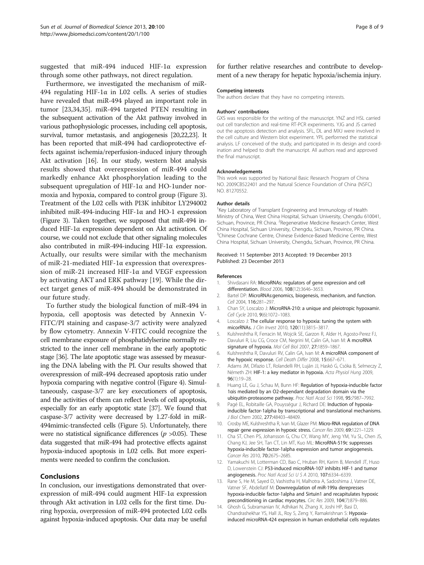<span id="page-7-0"></span>suggested that miR-494 induced HIF-1α expression through some other pathways, not direct regulation.

Furthermore, we investigated the mechanism of miR-494 regulating HIF-1α in L02 cells. A series of studies have revealed that miR-494 played an important role in tumor [\[23,34,35\]](#page-8-0). miR-494 targeted PTEN resulting in the subsequent activation of the Akt pathway involved in various pathophysiologic processes, including cell apoptosis, survival, tumor metastasis, and angiogenesis [\[20,22,23\]](#page-8-0). It has been reported that miR-494 had cardioprotective effects against ischemia/reperfusion-induced injury through Akt activation [\[16\]](#page-8-0). In our study, western blot analysis results showed that overexpression of miR-494 could markedly enhance Akt phosphorylation leading to the subsequent upregulation of HIF-1α and HO-1under normoxia and hypoxia, compared to control group (Figure [3](#page-4-0)). Treatment of the L02 cells with PI3K inhibitor LY294002 inhibited miR-494-inducing HIF-1α and HO-1 expression (Figure [3\)](#page-4-0). Taken together, we supposed that miR-494 induced HIF-1α expression dependent on Akt activation. Of course, we could not exclude that other signaling molecules also contributed in miR-494-inducing HIF-1α expression. Actually, our results were similar with the mechanism of miR-21-mediated HIF-1α expression that overexpression of miR-21 increased HIF-1α and VEGF expression by activating AKT and ERK pathway [[19](#page-8-0)]. While the direct target genes of miR-494 should be demonstrated in our future study.

To further study the biological function of miR-494 in hypoxia, cell apoptosis was detected by Annexin V-FITC/PI staining and caspase-3/7 activity were analyzed by flow cytometry. Annexin V-FITC could recognize the cell membrane exposure of phosphatidylserine normally restricted to the inner cell membrane in the early apoptotic stage [[36](#page-8-0)]. The late apoptotic stage was assessed by measuring the DNA labeling with the PI. Our results showed that overexpression of miR-494 decreased apoptosis ratio under hypoxia comparing with negative control (Figure [4](#page-5-0)). Simultaneously, caspase-3/7 are key executioners of apoptosis, and the activities of them can reflect levels of cell apoptosis, especially for an early apoptotic state [[37\]](#page-8-0). We found that caspase-3/7 activity were decreased by 1.27-fold in miR-494mimic-transfected cells (Figure [5\)](#page-6-0). Unfortunately, there were no statistical significance differences  $(p > 0.05)$ . These data suggested that miR-494 had protective effects against hypoxia-induced apoptosis in L02 cells. But more experiments were needed to confirm the conclusion.

## Conclusions

In conclusion, our investigations demonstrated that overexpression of miR-494 could augment HIF-1α expression through Akt activation in L02 cells for the first time. During hypoxia, overpression of miR-494 protected L02 cells against hypoxia-induced apoptosis. Our data may be useful for further relative researches and contribute to development of a new therapy for hepatic hypoxia/ischemia injury.

#### Competing interests

The authors declare that they have no competing interests.

#### Authors' contributions

GXS was responsible for the writing of the manuscript. YNZ and HSL carried out cell transfection and real-time RT-PCR experiments. YJG and JS carried out the apoptosis detection and analysis. SFL, DL and MXJ were involved in the cell culture and Western blot experiment. YPL performed the statistical analysis. LF conceived of the study, and participated in its design and coordination and helped to draft the manuscript. All authors read and approved the final manuscript.

#### Acknowledgements

This work was supported by National Basic Research Program of China NO. 2009CB522401 and the Natural Science Foundation of China (NSFC) NO. 81270552.

#### Author details

<sup>1</sup> Key Laboratory of Transplant Engineering and Immunology of Health Ministry of China, West China Hospital, Sichuan University, Chengdu 610041, Sichuan, Province, PR China. <sup>2</sup> Regenerative Medicine Research Center, West China Hospital, Sichuan University, Chengdu, Sichuan, Province, PR China. <sup>3</sup>Chinese Cochrane Centre, Chinese Evidence-Based Medicine Centre, West China Hospital, Sichuan University, Chengdu, Sichuan, Province, PR China.

#### Received: 11 September 2013 Accepted: 19 December 2013 Published: 23 December 2013

#### References

- 1. Shivdasani RA: MicroRNAs: regulators of gene expression and cell differentiation. Blood 2006, 108(12):3646–3653.
- 2. Bartel DP: MicroRNAs:genomics, biogenesis, mechanism, and function. Cell 2004, 116:281–297.
- 3. Chan SY, Loscalzo J: MicroRNA-210: a unique and pleiotropic hypoxamir. Cell Cycle 2010, 9(6):1072–1083.
- 4. Loscalzo J: The cellular response to hypoxia: tuning the system with micorRNAs. J Clin Invest 2010, 120(11):3815–3817.
- 5. Kulshreshtha R, Ferracin M, Wojcik SE, Garzon R, Alder H, Agosto-Perez FJ, Davuluri R, Liu CG, Croce CM, Negrini M, Calin GA, Ivan M: A mcroRNA signature of hypoxia. Mol Cell Biol 2007, 27:1859–1867.
- 6. Kulshreshtha R, Davuluri RV, Calin GA, Ivan M: A microRNA component of the hypoxic response. Cell Death Differ 2008, 15:667–671.
- 7. Adams JM, Difazio LT, Rolandelli RH, Luján JJ, Haskó G, Csóka B, Selmeczy Z, Németh ZH: HIF-1: a key mediator in hypoxia. Acta Physiol Hung 2009, 96(1):19–28.
- 8. Huang LE, Gu J, Schau M, Bunn HF: Regulation of hypoxia-inducible factor 1αis mediated by an O2-dependant degradation domain via the ubiquitin-proteasome pathway. Proc Natl Acad Sci 1998, 95:7987–7992.
- 9. Pagé EL, Robitaille GA, Pouysségur J, Richard DE: Induction of hypoxiainducible factor-1alpha by transcriptional and translational mechanisms. J Biol Chem 2002, 277:48403–48409.
- 10. Crosby ME, Kulshreshtha R, Ivan M, Glazer PM: Micro-RNA regulation of DNA repair gene expression in hypoxic stress. Cancer Res 2009, 69:1221–1229.
- 11. Cha ST, Chen PS, Johansson G, Chu CY, Wang MY, Jeng YM, Yu SL, Chen JS, Chang KJ, Jee SH, Tan CT, Lin MT, Kuo ML: MicroRNA-519c suppresses hypoxia-inducible factor-1alpha expression and tumor angiogenesis. Cancer Res 2010, 70:2675–2685.
- 12. Yamakuchi M, Lotterman CD, Bao C, Hruban RH, Karim B, Mendell JT, Huso D, Lowenstein CJ: P53-induced microRNA-107 inhibits HIF-1 and tumor angiogenesis. Proc Natl Acad Sci U S A 2010, 107:6334–6339.
- 13. Rane S, He M, Sayed D, Vashistha H, Malhotra A, Sadoshima J, Vatner DE, Vatner SF, Abdellatif M: Downregulation of miR-199a derepresses hypoxia-inducible factor-1alpha and Sirtuin1 and recapitulates hypoxic preconditioning in cardiac myocytes. Circ Res 2009, 104(7):879–886.
- 14. Ghosh G, Subramanian IV, Adhikari N, Zhang X, Joshi HP, Basi D, Chandrashekhar YS, Hall JL, Roy S, Zeng Y, Ramakrishnan S: Hypoxiainduced microRNA-424 expression in human endothelial cells regulates